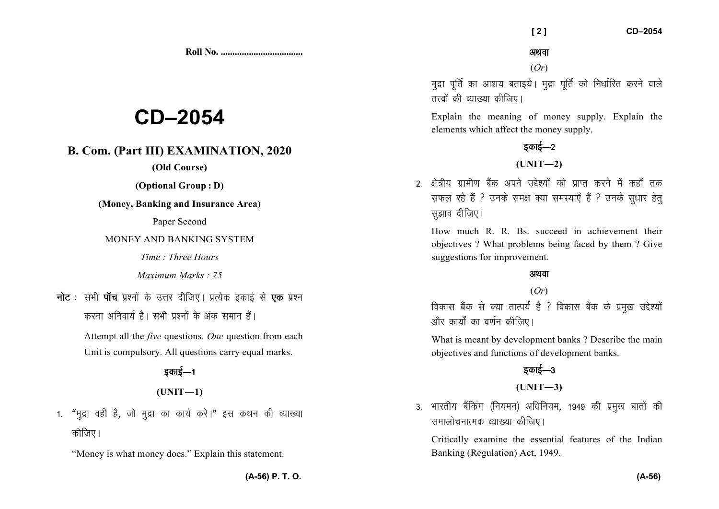**Roll No. ...................................** 

# **CD–2054**

## **B. Com. (Part III) EXAMINATION, 2020**

**(Old Course)** 

**(Optional Group : D)** 

**(Money, Banking and Insurance Area)** 

Paper Second

### MONEY AND BANKING SYSTEM

*Time : Three Hours* 

*Maximum Marks : 75*

**नोट** : सभी **पाँच** प्रश्नों के उत्तर दीजिए। प्रत्येक इकाई से **एक** प्रश्न करना अनिवार्य है। सभी प्रश्नों के अंक समान हैं।

> Attempt all the *five* questions. *One* question from each Unit is compulsory. All questions carry equal marks.

# डकाई—1

**(UNIT—1)** 

1. "मद्रा वही है. जो मद्रा का कार्य करे।" इस कथन की व्याख्या कीजिए।

"Money is what money does." Explain this statement.

अथवा

(*Or*)

मद्रा पर्ति का आशय बताइये। मुद्रा पूर्ति को निर्धारित करने वाले तत्त्वों की व्याख्या कीजिए।

Explain the meaning of money supply. Explain the elements which affect the money supply.

# डकाई $-2$

### $(UNIT-2)$

2. क्षेत्रीय ग्रामीण बैंक अपने उद्देश्यों को प्राप्त करने में कहाँ तक सफल रहे हैं ? उनके समक्ष क्या समस्याएँ हैं ? उनके सुधार हेत् सुझाव दीजिए।

How much R. R. Bs. succeed in achievement their objectives ? What problems being faced by them ? Give suggestions for improvement.

### अथवा

### (*Or*)

विकास बैंक से क्या तात्पर्य है ? विकास बैंक के प्रमुख उद्देश्यों ओर कार्यों का वर्णन कीजिए।

What is meant by development banks ? Describe the main objectives and functions of development banks.

# डकाई—3

### **(UNIT—3)**

3. भारतीय बैंकिंग (नियमन) अधिनियम, 1949 की प्रमुख बातों की समालोचनात्मक व्याख्या कीजिए।

Critically examine the essential features of the Indian Banking (Regulation) Act, 1949.

**(A-56) P. T. O.**